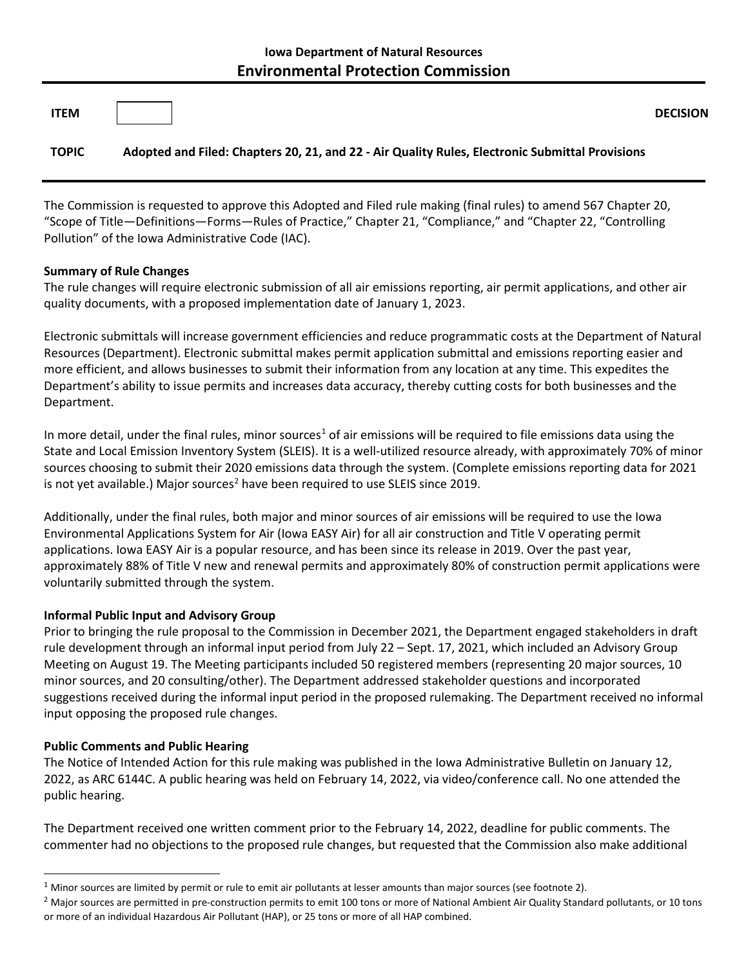## **Iowa Department of Natural Resources Environmental Protection Commission**

| <b>ITEM</b>  |                                                                                                 | <b>DECISION</b> |
|--------------|-------------------------------------------------------------------------------------------------|-----------------|
| <b>TOPIC</b> | Adopted and Filed: Chapters 20, 21, and 22 - Air Quality Rules, Electronic Submittal Provisions |                 |

The Commission is requested to approve this Adopted and Filed rule making (final rules) to amend 567 Chapter 20, "Scope of Title—Definitions—Forms—Rules of Practice," Chapter 21, "Compliance," and "Chapter 22, "Controlling Pollution" of the Iowa Administrative Code (IAC).

## **Summary of Rule Changes**

The rule changes will require electronic submission of all air emissions reporting, air permit applications, and other air quality documents, with a proposed implementation date of January 1, 2023.

Electronic submittals will increase government efficiencies and reduce programmatic costs at the Department of Natural Resources (Department). Electronic submittal makes permit application submittal and emissions reporting easier and more efficient, and allows businesses to submit their information from any location at any time. This expedites the Department's ability to issue permits and increases data accuracy, thereby cutting costs for both businesses and the Department.

In more detail, under the final rules, minor sources<sup>1</sup> of air emissions will be required to file emissions data using the State and Local Emission Inventory System (SLEIS). It is a well-utilized resource already, with approximately 70% of minor sources choosing to submit their 2020 emissions data through the system. (Complete emissions reporting data for 2021 is not yet available.) Major sources<sup>[2](#page-0-1)</sup> have been required to use SLEIS since 2019.

Additionally, under the final rules, both major and minor sources of air emissions will be required to use the Iowa Environmental Applications System for Air (Iowa EASY Air) for all air construction and Title V operating permit applications. Iowa EASY Air is a popular resource, and has been since its release in 2019. Over the past year, approximately 88% of Title V new and renewal permits and approximately 80% of construction permit applications were voluntarily submitted through the system.

## **Informal Public Input and Advisory Group**

Prior to bringing the rule proposal to the Commission in December 2021, the Department engaged stakeholders in draft rule development through an informal input period from July 22 – Sept. 17, 2021, which included an Advisory Group Meeting on August 19. The Meeting participants included 50 registered members (representing 20 major sources, 10 minor sources, and 20 consulting/other). The Department addressed stakeholder questions and incorporated suggestions received during the informal input period in the proposed rulemaking. The Department received no informal input opposing the proposed rule changes.

## **Public Comments and Public Hearing**

 $\overline{a}$ 

The Notice of Intended Action for this rule making was published in the Iowa Administrative Bulletin on January 12, 2022, as ARC 6144C. A public hearing was held on February 14, 2022, via video/conference call. No one attended the public hearing.

The Department received one written comment prior to the February 14, 2022, deadline for public comments. The commenter had no objections to the proposed rule changes, but requested that the Commission also make additional

<span id="page-0-0"></span> $1$  Minor sources are limited by permit or rule to emit air pollutants at lesser amounts than major sources (see footnote 2).

<span id="page-0-1"></span> $<sup>2</sup>$  Major sources are permitted in pre-construction permits to emit 100 tons or more of National Ambient Air Quality Standard pollutants, or 10 tons</sup> or more of an individual Hazardous Air Pollutant (HAP), or 25 tons or more of all HAP combined.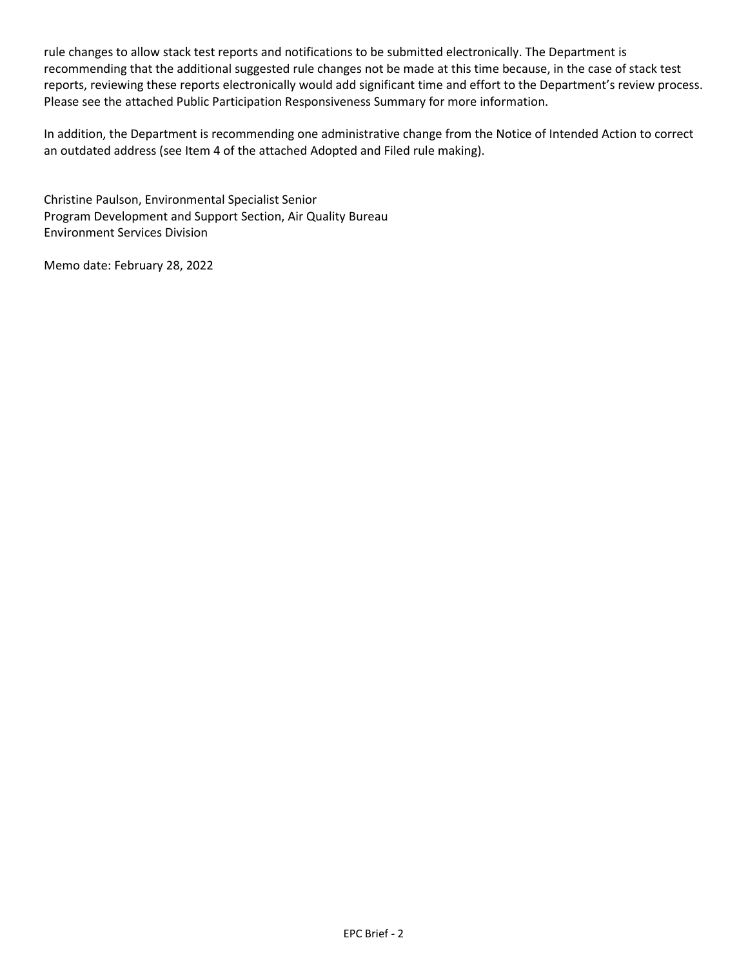rule changes to allow stack test reports and notifications to be submitted electronically. The Department is recommending that the additional suggested rule changes not be made at this time because, in the case of stack test reports, reviewing these reports electronically would add significant time and effort to the Department's review process. Please see the attached Public Participation Responsiveness Summary for more information.

In addition, the Department is recommending one administrative change from the Notice of Intended Action to correct an outdated address (see Item 4 of the attached Adopted and Filed rule making).

Christine Paulson, Environmental Specialist Senior Program Development and Support Section, Air Quality Bureau Environment Services Division

Memo date: February 28, 2022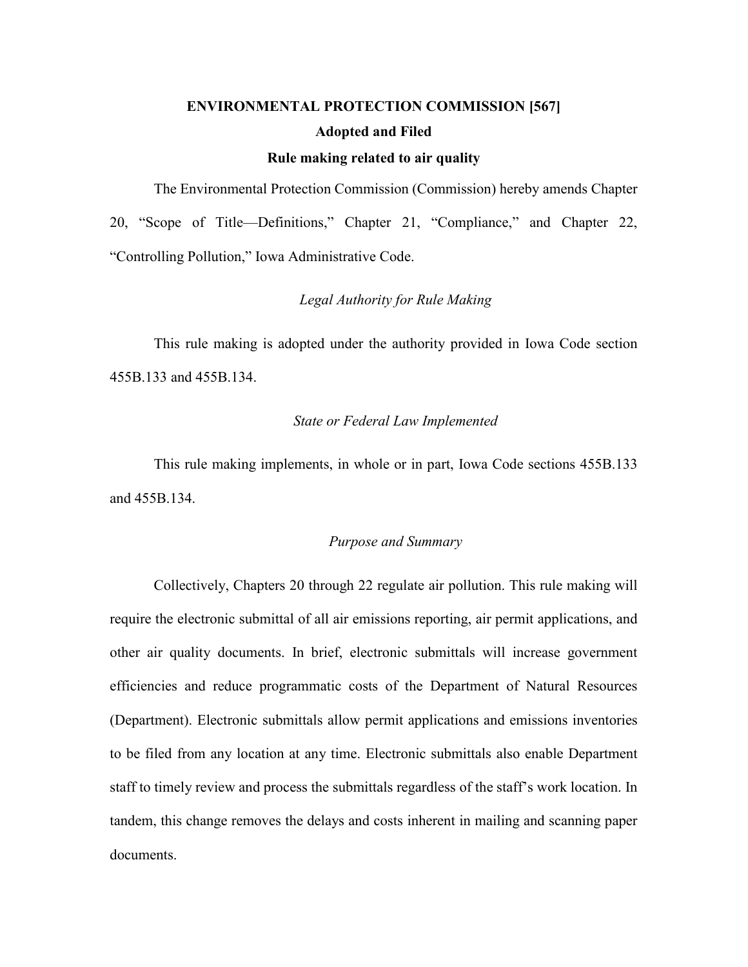# **ENVIRONMENTAL PROTECTION COMMISSION [567] Adopted and Filed**

#### **Rule making related to air quality**

The Environmental Protection Commission (Commission) hereby amends Chapter 20, "Scope of Title—Definitions," Chapter 21, "Compliance," and Chapter 22, "Controlling Pollution," Iowa Administrative Code.

## *Legal Authority for Rule Making*

This rule making is adopted under the authority provided in Iowa Code section 455B.133 and 455B.134.

## *State or Federal Law Implemented*

This rule making implements, in whole or in part, Iowa Code sections 455B.133 and 455B.134.

## *Purpose and Summary*

Collectively, Chapters 20 through 22 regulate air pollution. This rule making will require the electronic submittal of all air emissions reporting, air permit applications, and other air quality documents. In brief, electronic submittals will increase government efficiencies and reduce programmatic costs of the Department of Natural Resources (Department). Electronic submittals allow permit applications and emissions inventories to be filed from any location at any time. Electronic submittals also enable Department staff to timely review and process the submittals regardless of the staff's work location. In tandem, this change removes the delays and costs inherent in mailing and scanning paper documents.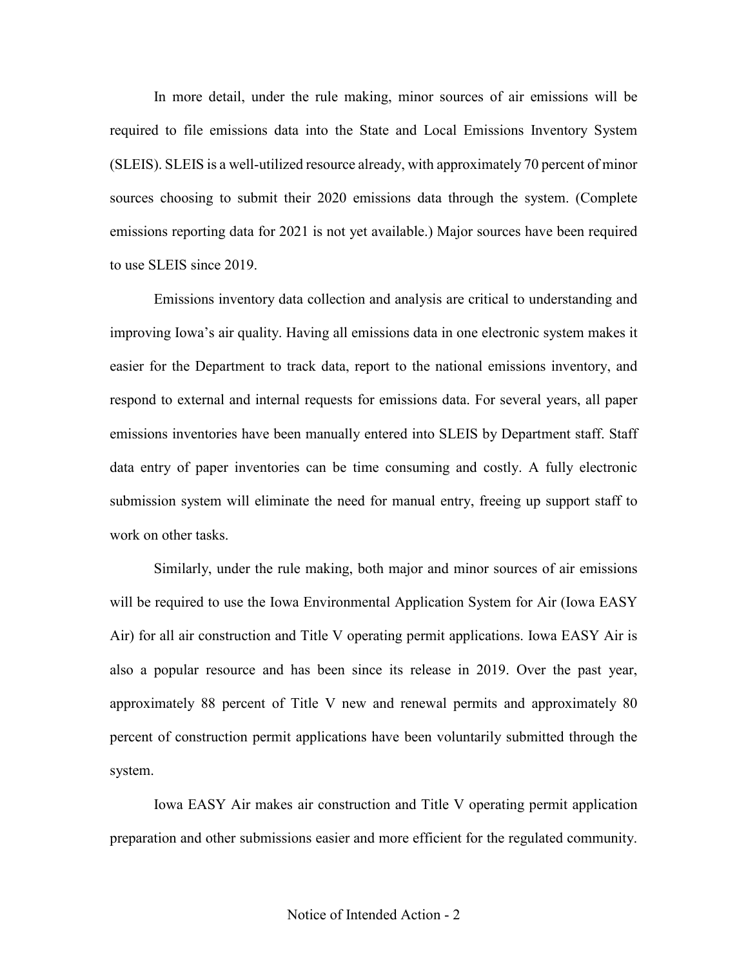In more detail, under the rule making, minor sources of air emissions will be required to file emissions data into the State and Local Emissions Inventory System (SLEIS). SLEIS is a well-utilized resource already, with approximately 70 percent of minor sources choosing to submit their 2020 emissions data through the system. (Complete emissions reporting data for 2021 is not yet available.) Major sources have been required to use SLEIS since 2019.

Emissions inventory data collection and analysis are critical to understanding and improving Iowa's air quality. Having all emissions data in one electronic system makes it easier for the Department to track data, report to the national emissions inventory, and respond to external and internal requests for emissions data. For several years, all paper emissions inventories have been manually entered into SLEIS by Department staff. Staff data entry of paper inventories can be time consuming and costly. A fully electronic submission system will eliminate the need for manual entry, freeing up support staff to work on other tasks.

Similarly, under the rule making, both major and minor sources of air emissions will be required to use the Iowa Environmental Application System for Air (Iowa EASY Air) for all air construction and Title V operating permit applications. Iowa EASY Air is also a popular resource and has been since its release in 2019. Over the past year, approximately 88 percent of Title V new and renewal permits and approximately 80 percent of construction permit applications have been voluntarily submitted through the system.

Iowa EASY Air makes air construction and Title V operating permit application preparation and other submissions easier and more efficient for the regulated community.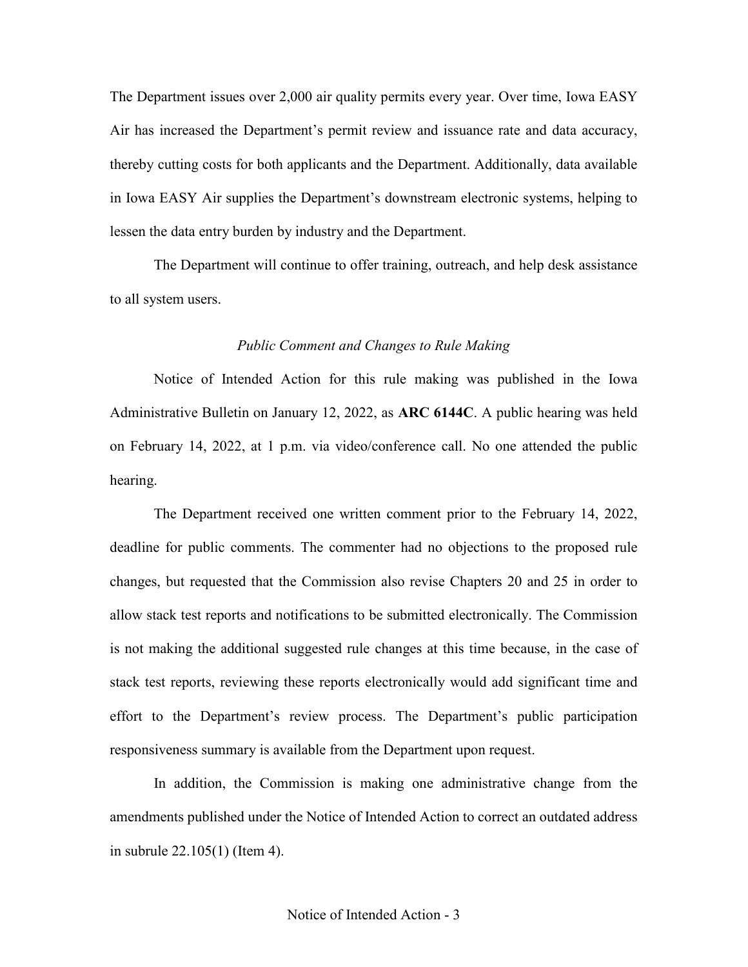The Department issues over 2,000 air quality permits every year. Over time, Iowa EASY Air has increased the Department's permit review and issuance rate and data accuracy, thereby cutting costs for both applicants and the Department. Additionally, data available in Iowa EASY Air supplies the Department's downstream electronic systems, helping to lessen the data entry burden by industry and the Department.

The Department will continue to offer training, outreach, and help desk assistance to all system users.

## *Public Comment and Changes to Rule Making*

Notice of Intended Action for this rule making was published in the Iowa Administrative Bulletin on January 12, 2022, as **ARC 6144C**. A public hearing was held on February 14, 2022, at 1 p.m. via video/conference call. No one attended the public hearing.

The Department received one written comment prior to the February 14, 2022, deadline for public comments. The commenter had no objections to the proposed rule changes, but requested that the Commission also revise Chapters 20 and 25 in order to allow stack test reports and notifications to be submitted electronically. The Commission is not making the additional suggested rule changes at this time because, in the case of stack test reports, reviewing these reports electronically would add significant time and effort to the Department's review process. The Department's public participation responsiveness summary is available from the Department upon request.

In addition, the Commission is making one administrative change from the amendments published under the Notice of Intended Action to correct an outdated address in subrule 22.105(1) (Item 4).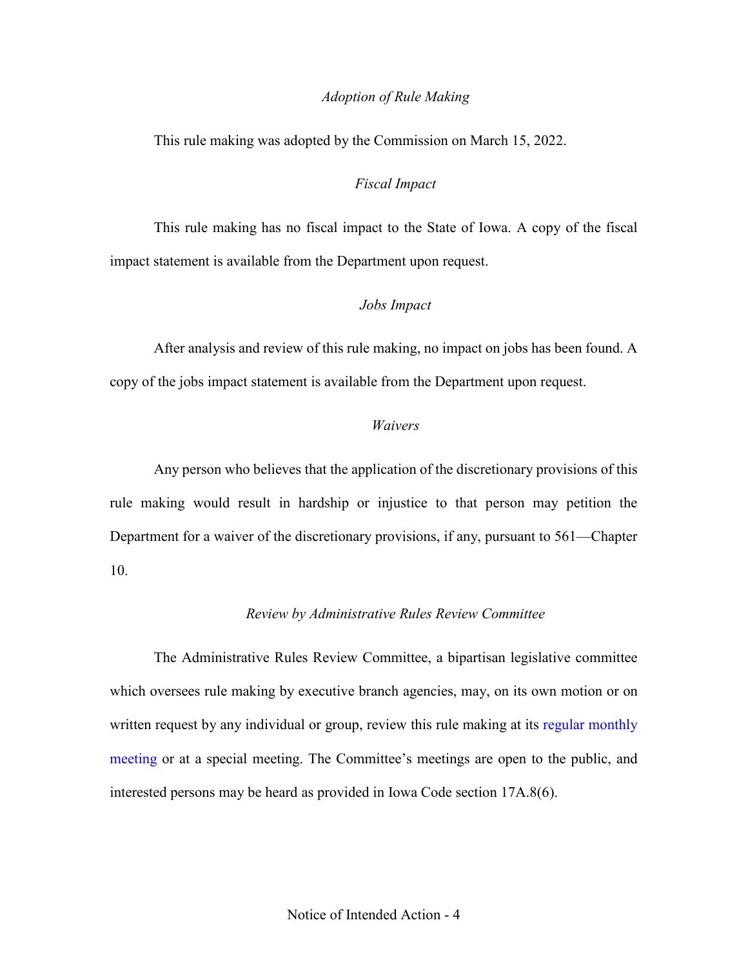#### *Adoption of Rule Making*

This rule making was adopted by the Commission on March 15, 2022.

## *Fiscal Impact*

This rule making has no fiscal impact to the State of Iowa. A copy of the fiscal impact statement is available from the Department upon request.

## *Jobs Impact*

After analysis and review of this rule making, no impact on jobs has been found. A copy of the jobs impact statement is available from the Department upon request.

## *Waivers*

Any person who believes that the application of the discretionary provisions of this rule making would result in hardship or injustice to that person may petition the Department for a waiver of the discretionary provisions, if any, pursuant to 561—Chapter 10.

## *Review by Administrative Rules Review Committee*

The Administrative Rules Review Committee, a bipartisan legislative committee which oversees rule making by executive branch agencies, may, on its own motion or on written request by any individual or group, review this rule making at its regular monthly [meeting](https://www.legis.iowa.gov/committees/meetings/meetingsListComm?groupID=705&ga=89) or at a special meeting. The Committee's meetings are open to the public, and interested persons may be heard as provided in Iowa Code section 17A.8(6).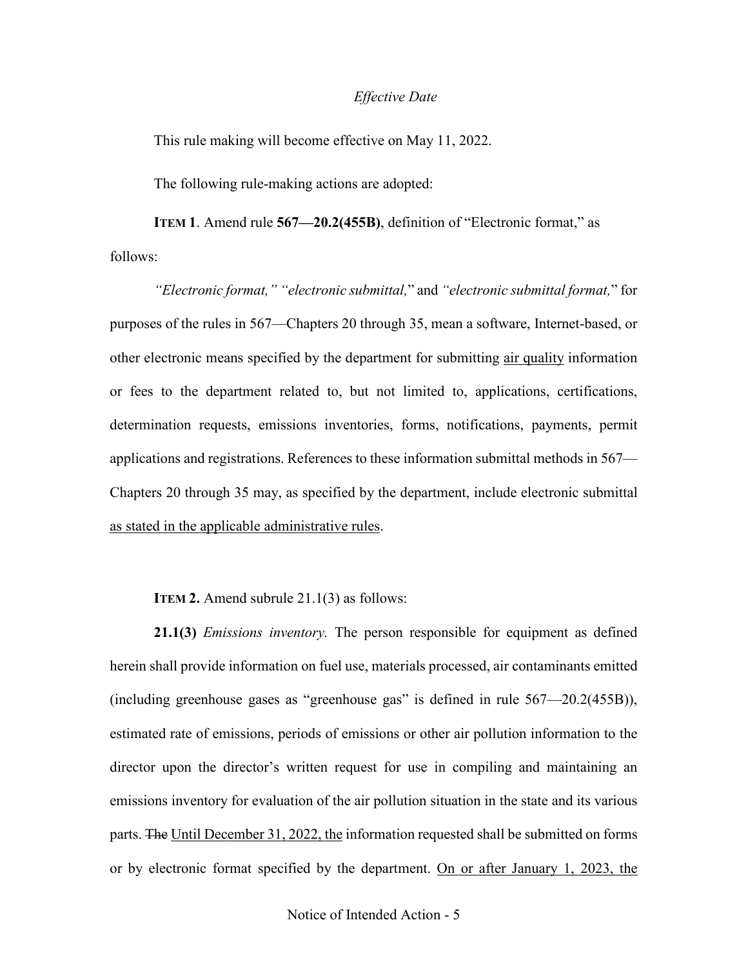#### *Effective Date*

This rule making will become effective on May 11, 2022.

The following rule-making actions are adopted:

**ITEM 1**. Amend rule **567—20.2(455B)**, definition of "Electronic format," as follows:

*"Electronic format," "electronic submittal,*" and *"electronic submittal format,*" for purposes of the rules in 567—Chapters 20 through 35, mean a software, Internet-based, or other electronic means specified by the department for submitting air quality information or fees to the department related to, but not limited to, applications, certifications, determination requests, emissions inventories, forms, notifications, payments, permit applications and registrations. References to these information submittal methods in 567— Chapters 20 through 35 may, as specified by the department, include electronic submittal as stated in the applicable administrative rules.

**ITEM 2.** Amend subrule 21.1(3) as follows:

**21.1(3)** *Emissions inventory.* The person responsible for equipment as defined herein shall provide information on fuel use, materials processed, air contaminants emitted (including greenhouse gases as "greenhouse gas" is defined in rule [567—20.2\(455B\)\)](https://www.legis.iowa.gov/docs/iac/rule/567.20.2.pdf), estimated rate of emissions, periods of emissions or other air pollution information to the director upon the director's written request for use in compiling and maintaining an emissions inventory for evaluation of the air pollution situation in the state and its various parts. The Until December 31, 2022, the information requested shall be submitted on forms or by electronic format specified by the department. On or after January 1, 2023, the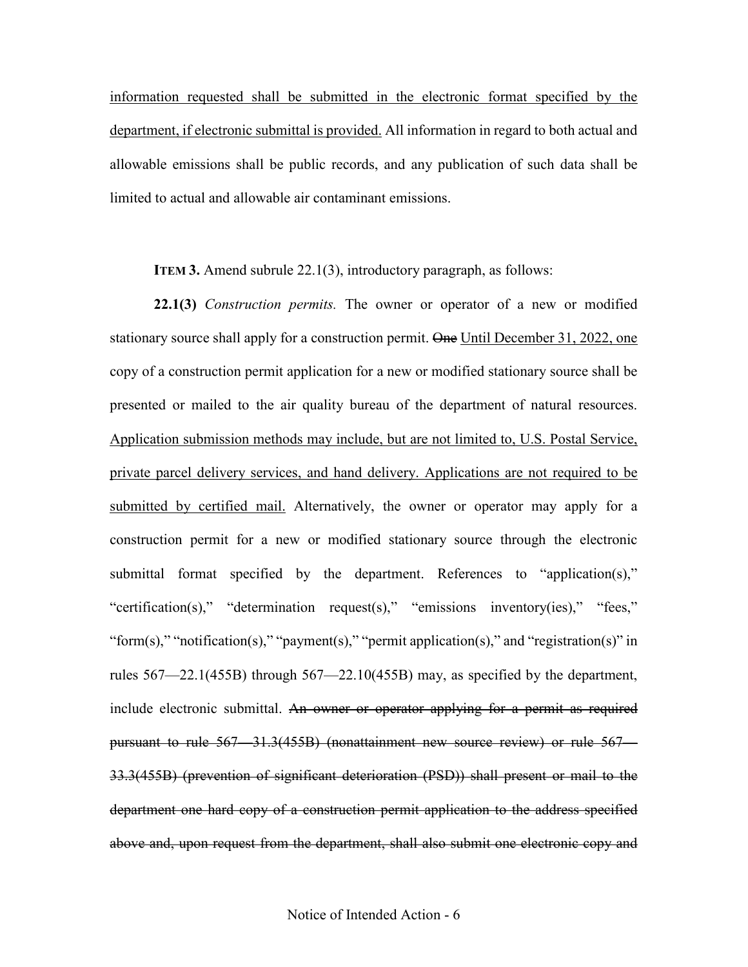information requested shall be submitted in the electronic format specified by the department, if electronic submittal is provided. All information in regard to both actual and allowable emissions shall be public records, and any publication of such data shall be limited to actual and allowable air contaminant emissions.

**ITEM 3.** Amend subrule 22.1(3), introductory paragraph, as follows:

**22.1(3)** *Construction permits.* The owner or operator of a new or modified stationary source shall apply for a construction permit. One Until December 31, 2022, one copy of a construction permit application for a new or modified stationary source shall be presented or mailed to the air quality bureau of the department of natural resources. Application submission methods may include, but are not limited to, U.S. Postal Service, private parcel delivery services, and hand delivery. Applications are not required to be submitted by certified mail. Alternatively, the owner or operator may apply for a construction permit for a new or modified stationary source through the electronic submittal format specified by the department. References to "application(s)," "certification(s)," "determination request(s)," "emissions inventory(ies)," "fees," "form(s)," "notification(s)," "payment(s)," "permit application(s)," and "registration(s)" in rules [567—22.1\(](https://www.legis.iowa.gov/docs/iac/rule/567.22.1.pdf)455B) through [567—22.10\(](https://www.legis.iowa.gov/docs/iac/rule/567.22.10.pdf)455B) may, as specified by the department, include electronic submittal. An owner or operator applying for a permit as required pursuant to rule [567—31.3\(](https://www.legis.iowa.gov/docs/iac/rule/567.31.3.pdf)455B) (nonattainment new source review) or rule [567—](https://www.legis.iowa.gov/docs/iac/rule/567.33.3.pdf) [33.3\(](https://www.legis.iowa.gov/docs/iac/rule/567.33.3.pdf)455B) (prevention of significant deterioration (PSD)) shall present or mail to the department one hard copy of a construction permit application to the address specified above and, upon request from the department, shall also submit one electronic copy and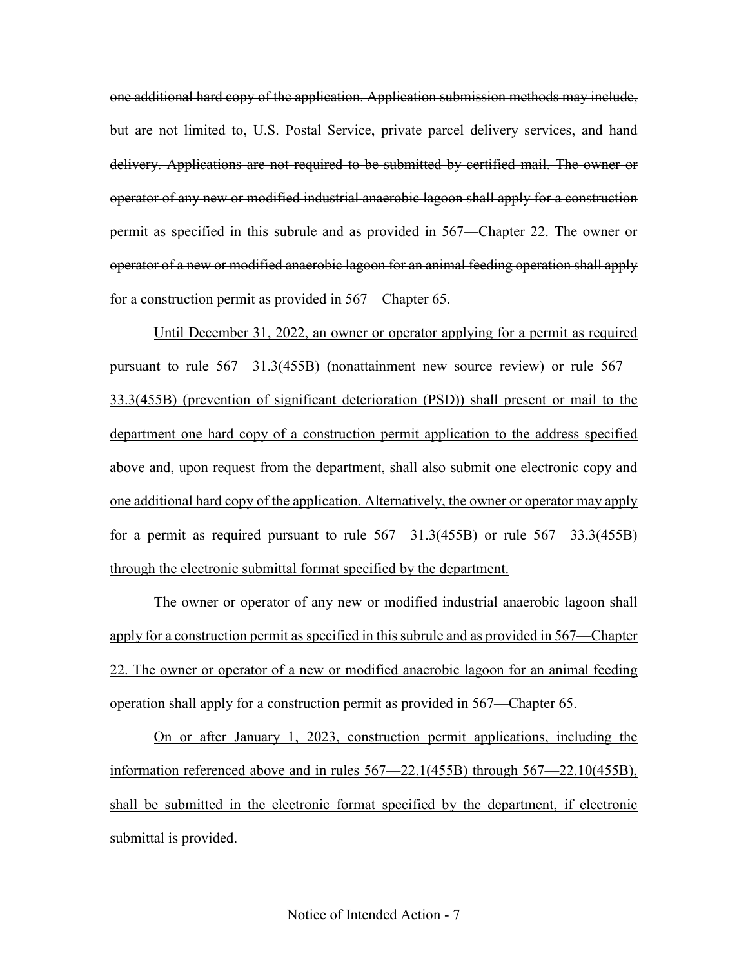one additional hard copy of the application. Application submission methods may include, but are not limited to, U.S. Postal Service, private parcel delivery services, and hand delivery. Applications are not required to be submitted by certified mail. The owner or operator of any new or modified industrial anaerobic lagoon shall apply for a construction permit as specified in this subrule and as provided in [567—Chapter 22.](https://www.legis.iowa.gov/docs/iac/chapter/567.22.pdf) The owner or operator of a new or modified anaerobic lagoon for an animal feeding operation shall apply for a construction permit as provided in [567—Chapter 65.](https://www.legis.iowa.gov/docs/iac/chapter/567.65.pdf)

Until December 31, 2022, an owner or operator applying for a permit as required pursuant to rule [567—31.3\(](https://www.legis.iowa.gov/docs/iac/rule/567.31.3.pdf)455B) (nonattainment new source review) or rule [567—](https://www.legis.iowa.gov/docs/iac/rule/567.33.3.pdf) [33.3\(](https://www.legis.iowa.gov/docs/iac/rule/567.33.3.pdf)455B) (prevention of significant deterioration (PSD)) shall present or mail to the department one hard copy of a construction permit application to the address specified above and, upon request from the department, shall also submit one electronic copy and one additional hard copy of the application. Alternatively, the owner or operator may apply for a permit as required pursuant to rule  $567-31.3(455B)$  or rule  $567-33.3(455B)$ through the electronic submittal format specified by the department.

The owner or operator of any new or modified industrial anaerobic lagoon shall apply for a construction permit as specified in this subrule and as provided in [567—Chapter](https://www.legis.iowa.gov/docs/iac/chapter/567.22.pdf)  [22.](https://www.legis.iowa.gov/docs/iac/chapter/567.22.pdf) The owner or operator of a new or modified anaerobic lagoon for an animal feeding operation shall apply for a construction permit as provided in [567—Chapter 65.](https://www.legis.iowa.gov/docs/iac/chapter/567.65.pdf)

On or after January 1, 2023, construction permit applications, including the information referenced above and in rules [567—22.1\(](https://www.legis.iowa.gov/docs/iac/rule/567.22.1.pdf)455B) through [567—22.10\(](https://www.legis.iowa.gov/docs/iac/rule/567.22.10.pdf)455B), shall be submitted in the electronic format specified by the department, if electronic submittal is provided.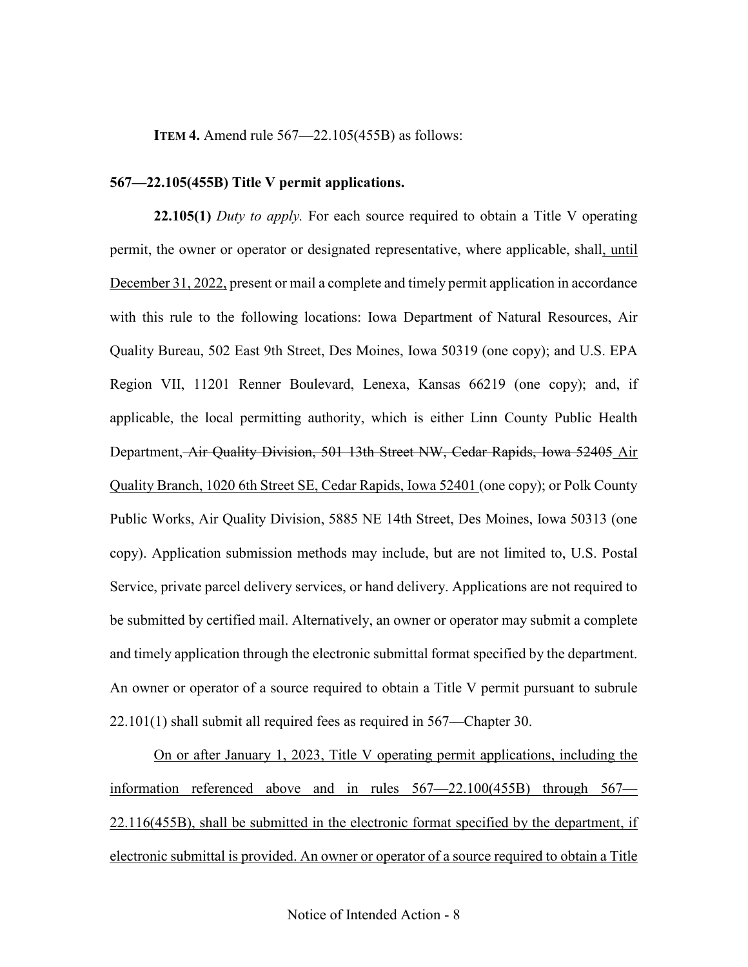**ITEM 4.** Amend rule 567—22.105(455B) as follows:

#### **567—22.105(455B) Title V permit applications.**

**22.105(1)** *Duty to apply.* For each source required to obtain a Title V operating permit, the owner or operator or designated representative, where applicable, shall, until December 31, 2022, present or mail a complete and timely permit application in accordance with this rule to the following locations: Iowa Department of Natural Resources, Air Quality Bureau, 502 East 9th Street, Des Moines, Iowa 50319 (one copy); and U.S. EPA Region VII, 11201 Renner Boulevard, Lenexa, Kansas 66219 (one copy); and, if applicable, the local permitting authority, which is either Linn County Public Health Department, Air Quality Division, 501 13th Street NW, Cedar Rapids, Iowa 52405 Air Quality Branch, 1020 6th Street SE, Cedar Rapids, Iowa 52401 (one copy); or Polk County Public Works, Air Quality Division, 5885 NE 14th Street, Des Moines, Iowa 50313 (one copy). Application submission methods may include, but are not limited to, U.S. Postal Service, private parcel delivery services, or hand delivery. Applications are not required to be submitted by certified mail. Alternatively, an owner or operator may submit a complete and timely application through the electronic submittal format specified by the department. An owner or operator of a source required to obtain a Title V permit pursuant to subrule [22.101\(1\)](https://www.legis.iowa.gov/docs/iac/rule/567.22.101.pdf) shall submit all required fees as required in [567—Chapter 30.](https://www.legis.iowa.gov/docs/iac/chapter/567.30.pdf)

On or after January 1, 2023, Title V operating permit applications, including the information referenced above and in rules [567—22.100\(](https://www.legis.iowa.gov/docs/iac/rule/567.22.100.pdf)455B) through [567—](https://www.legis.iowa.gov/docs/iac/rule/567.22.116.pdf) [22.116\(](https://www.legis.iowa.gov/docs/iac/rule/567.22.116.pdf)455B), shall be submitted in the electronic format specified by the department, if electronic submittal is provided. An owner or operator of a source required to obtain a Title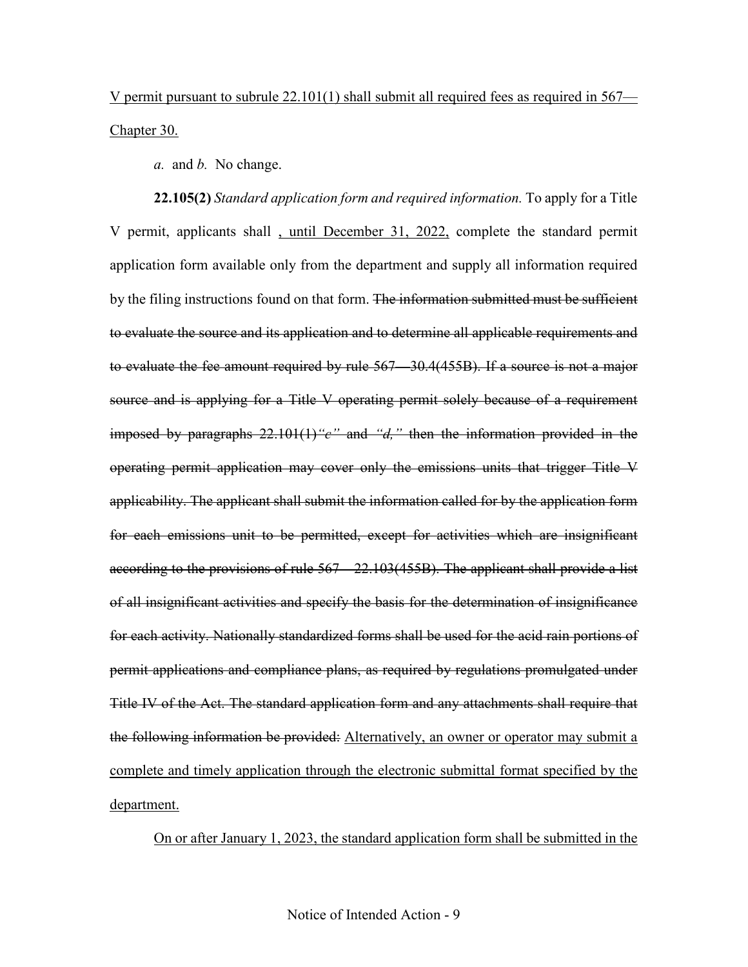V permit pursuant to subrule  $22.101(1)$  shall submit all required fees as required in [567—](https://www.legis.iowa.gov/docs/iac/chapter/567.30.pdf) [Chapter 30.](https://www.legis.iowa.gov/docs/iac/chapter/567.30.pdf)

*a.* and *b.* No change.

**22.105(2)** *Standard application form and required information.* To apply for a Title V permit, applicants shall , until December 31, 2022, complete the standard permit application form available only from the department and supply all information required by the filing instructions found on that form. The information submitted must be sufficient to evaluate the source and its application and to determine all applicable requirements and to evaluate the fee amount required by rule [567—30.4\(](https://www.legis.iowa.gov/docs/iac/rule/567.30.4.pdf)455B). If a source is not a major source and is applying for a Title V operating permit solely because of a requirement imposed by paragraphs [22.101\(1\)](https://www.legis.iowa.gov/docs/iac/rule/567.22.101.pdf)*"c"* and *"d,"* then the information provided in the operating permit application may cover only the emissions units that trigger Title V applicability. The applicant shall submit the information called for by the application form for each emissions unit to be permitted, except for activities which are insignificant according to the provisions of rule 567 - 22.103(455B). The applicant shall provide a list of all insignificant activities and specify the basis for the determination of insignificance for each activity. Nationally standardized forms shall be used for the acid rain portions of permit applications and compliance plans, as required by regulations promulgated under Title IV of the Act. The standard application form and any attachments shall require that the following information be provided: Alternatively, an owner or operator may submit a complete and timely application through the electronic submittal format specified by the department.

On or after January 1, 2023, the standard application form shall be submitted in the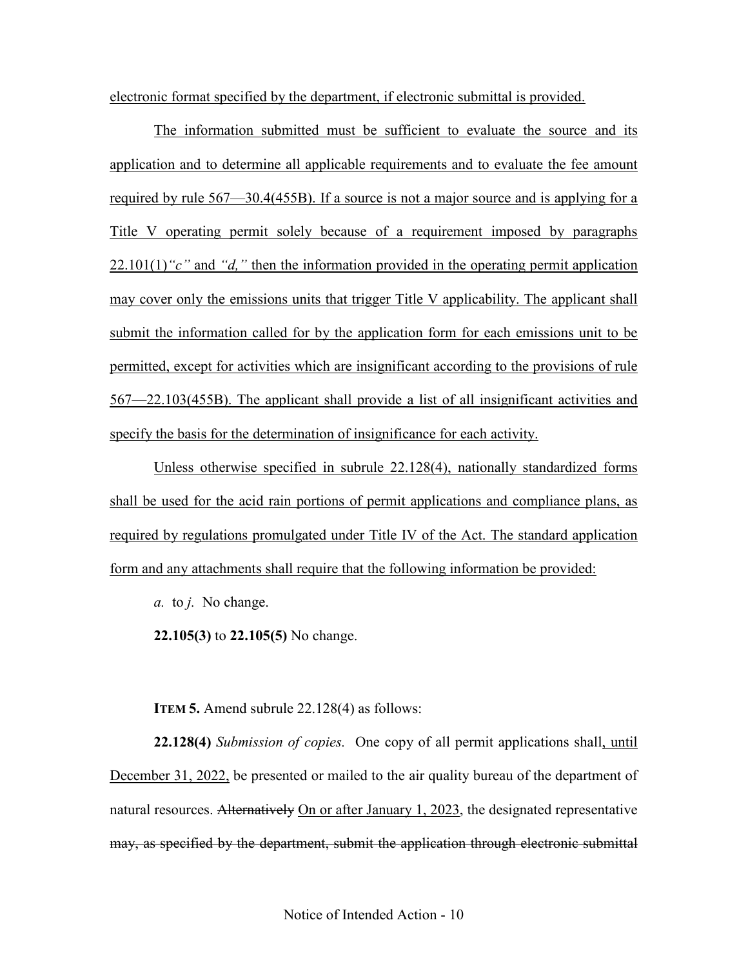electronic format specified by the department, if electronic submittal is provided.

The information submitted must be sufficient to evaluate the source and its application and to determine all applicable requirements and to evaluate the fee amount required by rule [567—30.4\(](https://www.legis.iowa.gov/docs/iac/rule/567.30.4.pdf)455B). If a source is not a major source and is applying for a Title V operating permit solely because of a requirement imposed by [paragraphs](https://www.legis.iowa.gov/docs/iac/rule/567.22.101.pdf)  [22.101\(1\)](https://www.legis.iowa.gov/docs/iac/rule/567.22.101.pdf)*"c"* and *["d,"](https://www.legis.iowa.gov/docs/iac/rule/567.22.101.pdf)* then the information provided in the operating permit application may cover only the emissions units that trigger Title V applicability. The applicant shall submit the information called for by the application form for each emissions unit to be permitted, except for activities which are insignificant according to the provisions of rule [567—22.103\(](https://www.legis.iowa.gov/docs/iac/rule/567.22.103.pdf)455B). The applicant shall provide a list of all insignificant activities and specify the basis for the determination of insignificance for each activity.

Unless otherwise specified in [subrule 22.128\(4\),](https://www.legis.iowa.gov/docs/iac/rule/567.22.128.pdf) nationally standardized forms shall be used for the acid rain portions of permit applications and compliance plans, as required by regulations promulgated under Title IV of the Act. The standard application form and any attachments shall require that the following information be provided:

*a.* to *j.* No change.

**22.105(3)** to **22.105(5)** No change.

**ITEM 5.** Amend subrule 22.128(4) as follows:

**22.128(4)** *Submission of copies.* One copy of all permit applications shall, until December 31, 2022, be presented or mailed to the air quality bureau of the department of natural resources. Alternatively On or after January 1, 2023, the designated representative may, as specified by the department, submit the application through electronic submittal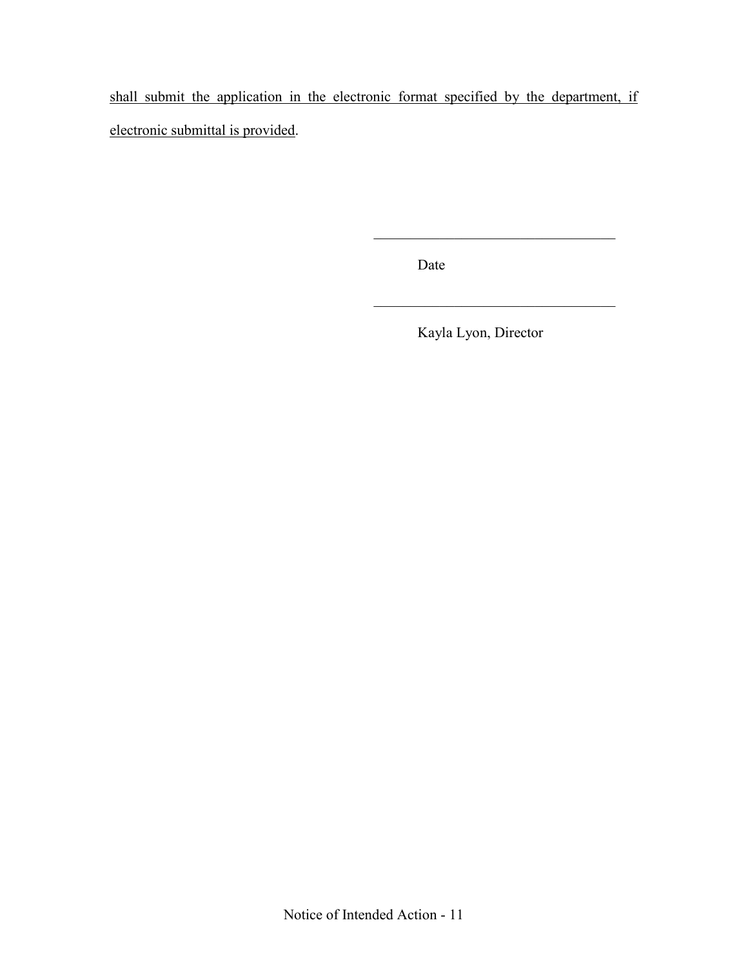shall submit the application in the electronic format specified by the department, if electronic submittal is provided.

Date

Kayla Lyon, Director

 $\mathcal{L}_\mathcal{L}$  , where  $\mathcal{L}_\mathcal{L}$  , we have the set of the set of the set of the set of the set of the set of the set of the set of the set of the set of the set of the set of the set of the set of the set of the set